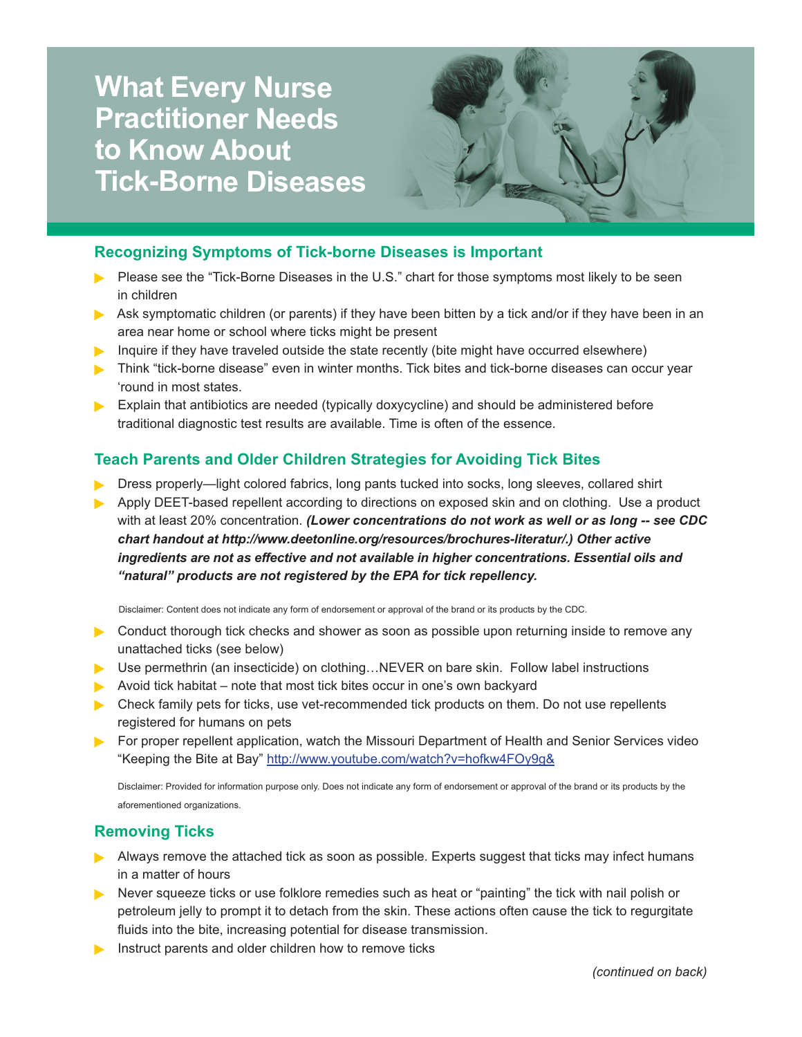# **What Every Nurse Practitioner Needs to Know About Tick-Borne Diseases**



#### **Recognizing Symptoms of Tick-borne Diseases is Important**

- Please see the "Tick-Borne Diseases in the U.S." chart for those symptoms most likely to be seen in children
- Ask symptomatic children (or parents) if they have been bitten by a tick and/or if they have been in an area near home or school where ticks might be present
- Inquire if they have traveled outside the state recently (bite might have occurred elsewhere)
- **Think "tick-borne disease" even in winter months. Tick bites and tick-borne diseases can occur year** 'round in most states.
- Explain that antibiotics are needed (typically doxycycline) and should be administered before traditional diagnostic test results are available. Time is often of the essence.

### **Teach Parents and Older Children Strategies for Avoiding Tick Bites**

- **Dress properly—light colored fabrics, long pants tucked into socks, long sleeves, collared shirt**
- Apply DEET-based repellent according to directions on exposed skin and on clothing. Use a product with at least 20% concentration. *(Lower concentrations do not work as well or as long -- see CDC chart handout at http://www.deetonline.org/resources/brochures-literatur/.) Other active ingredients are not as effective and not available in higher concentrations. Essential oils and "natural" products are not registered by the EPA for tick repellency.*

Disclaimer: Content does not indicate any form of endorsement or approval of the brand or its products by the CDC.

- **Conduct thorough tick checks and shower as soon as possible upon returning inside to remove any** unattached ticks (see below)
- ▶ Use permethrin (an insecticide) on clothing...NEVER on bare skin. Follow label instructions
- Avoid tick habitat note that most tick bites occur in one's own backyard
- **Detable 20 Accords** Family pets for ticks, use vet-recommended tick products on them. Do not use repellents registered for humans on pets
- For proper repellent application, watch the Missouri Department of Health and Senior Services video "Keeping the Bite at Bay" http://www.youtube.com/watch?v=hofkw4FOy9g&

Disclaimer: Provided for information purpose only. Does not indicate any form of endorsement or approval of the brand or its products by the aforementioned organizations.

### **Removing Ticks**

- Always remove the attached tick as soon as possible. Experts suggest that ticks may infect humans in a matter of hours
- Never squeeze ticks or use folklore remedies such as heat or "painting" the tick with nail polish or petroleum jelly to prompt it to detach from the skin. These actions often cause the tick to regurgitate fluids into the bite, increasing potential for disease transmission.
- Instruct parents and older children how to remove ticks